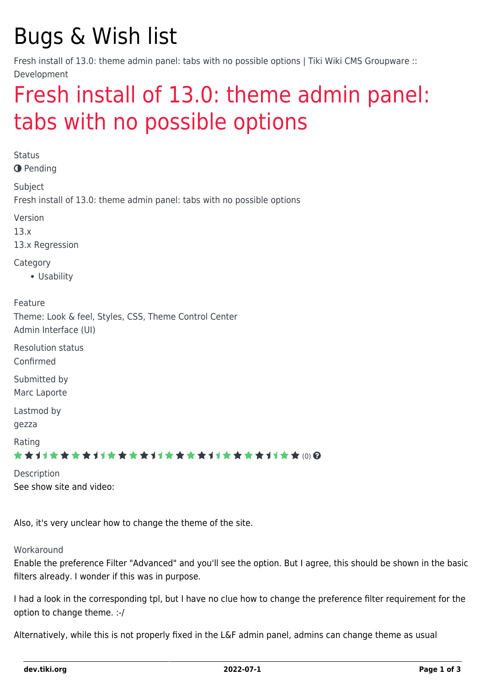# Bugs & Wish list

Fresh install of 13.0: theme admin panel: tabs with no possible options | Tiki Wiki CMS Groupware :: Development

# [Fresh install of 13.0: theme admin panel:](https://dev.tiki.org/item5383-Fresh-install-of-13-0-theme-admin-panel-tabs-with-no-possible-options) [tabs with no possible options](https://dev.tiki.org/item5383-Fresh-install-of-13-0-theme-admin-panel-tabs-with-no-possible-options)

**Status O** Pending Subject Fresh install of 13.0: theme admin panel: tabs with no possible options Version 13.x 13.x Regression Category Usability Feature Theme: Look & feel, Styles, CSS, Theme Control Center Admin Interface (UI) Resolution status Confirmed Submitted by Marc Laporte Lastmod by gezza Rating ★★11★★★★11★★★★11★★★★11★★★★+11★★ (0) @ Description See show site and video:

Also, it's very unclear how to change the theme of the site.

#### **Workaround**

Enable the preference Filter "Advanced" and you'll see the option. But I agree, this should be shown in the basic filters already. I wonder if this was in purpose.

I had a look in the corresponding tpl, but I have no clue how to change the preference filter requirement for the option to change theme. :-/

Alternatively, while this is not properly fixed in the L&F admin panel, admins can change theme as usual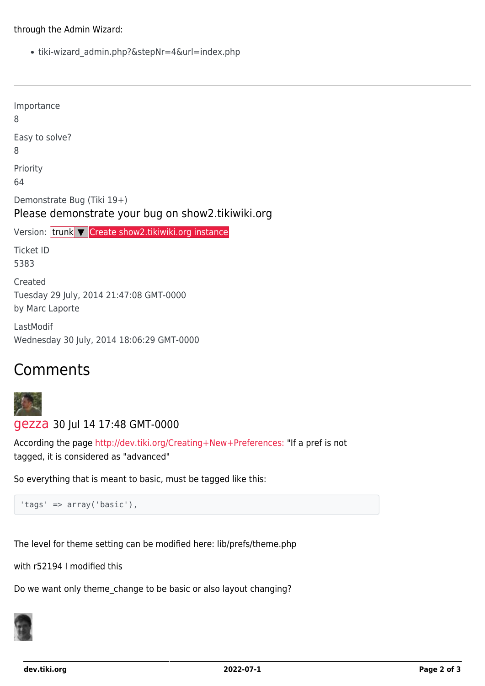#### through the Admin Wizard:

tiki-wizard\_admin.php?&stepNr=4&url=index.php

| Importance<br>8                                                                 |
|---------------------------------------------------------------------------------|
| Easy to solve?<br>8                                                             |
| Priority<br>64                                                                  |
| Demonstrate Bug (Tiki 19+)<br>Please demonstrate your bug on show2.tikiwiki.org |
| Version: trunk V Create show2.tikiwiki.org instance                             |
| <b>Ticket ID</b><br>5383                                                        |
| Created                                                                         |
| Tuesday 29 July, 2014 21:47:08 GMT-0000<br>by Marc Laporte                      |
| LastModif<br>Wednesday 30 July, 2014 18:06:29 GMT-0000                          |

## Comments



#### [gezza](https://dev.tiki.org/user10565) 30 Jul 14 17:48 GMT-0000

According the page <http://dev.tiki.org/Creating+New+Preferences:> "If a pref is not tagged, it is considered as "advanced"

So everything that is meant to basic, must be tagged like this:

```
'tags' => array('basic'),
```
The level for theme setting can be modified here: lib/prefs/theme.php

with r52194 I modified this

Do we want only theme\_change to be basic or also layout changing?